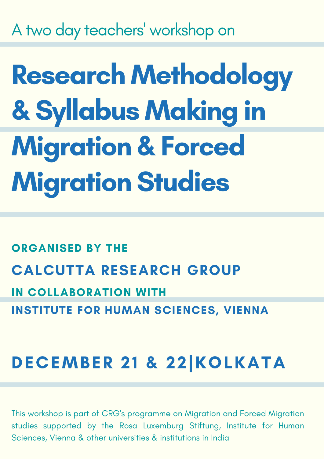A two day teachers' workshop on

**Research Methodology** & Syllabus Making in **Migration & Forced Migration Studies** 

**ORGANISED BY THE CALCUTTA RESEARCH GROUP IN COLLABORATION WITH INSTITUTE FOR HUMAN SCIENCES, VIENNA** 

# **DECEMBER 21 & 22 KOLKATA**

This workshop is part of CRG's programme on Migration and Forced Migration studies supported by the Rosa Luxemburg Stiftung, Institute for Human Sciences, Vienna & other universities & institutions in India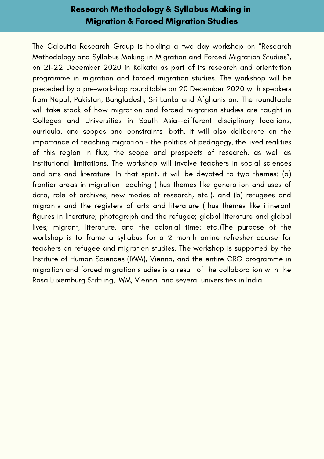# Research Methodology & Syllabus Making in Migration & Forced Migration Studies

The Calcutta Research Group is holding a two-day workshop on "Research Methodology and Syllabus Making in Migration and Forced Migration Studies", on 21-22 December 2020 in Kolkata as part of its research and orientation programme in migration and forced migration studies. The workshop will be preceded by a pre-workshop roundtable on 20 December 2020 with speakers from Nepal, Pakistan, Bangladesh, Sri Lanka and Afghanistan. The roundtable will take stock of how migration and forced migration studies are taught in Colleges and Universities in South Asia--different disciplinary locations, curricula, and scopes and constraints--both. It will also deliberate on the importance of teaching migration - the politics of pedagogy, the lived realities of this region in flux, the scope and prospects of research, as well as institutional limitations. The workshop will involve teachers in social sciences and arts and literature. In that spirit, it will be devoted to two themes: (a) frontier areas in migration teaching (thus themes like generation and uses of data, role of archives, new modes of research, etc.), and (b) refugees and migrants and the registers of arts and literature (thus themes like itinerant figures in literature; photograph and the refugee; global literature and global lives; migrant, literature, and the colonial time; etc.)The purpose of the workshop is to frame a syllabus for a 2 month online refresher course for teachers on refugee and migration studies. The workshop is supported by the Institute of Human Sciences (IWM), Vienna, and the entire CRG programme in migration and forced migration studies is a result of the collaboration with the Rosa Luxemburg Stiftung, IWM, Vienna, and several universities in India.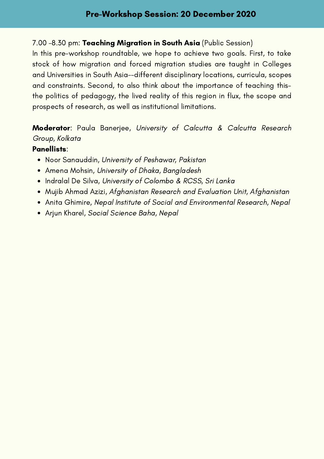## 7.00 -8.30 pm: Teaching Migration in South Asia (Public Session)

In this pre-workshop roundtable, we hope to achieve two goals. First, to take stock of how migration and forced migration studies are taught in Colleges and Universities in South Asia--different disciplinary locations, curricula, scopes and constraints. Second, to also think about the importance of teaching thisthe politics of pedagogy, the lived reality of this region in flux, the scope and prospects of research, as well as institutional limitations.

## Moderator: Paula Banerjee, University of Calcutta & Calcutta Research Group, Kolkata

#### Panellists:

- Noor Sanauddin, University of Peshawar, Pakistan
- Amena Mohsin, University of Dhaka, Bangladesh
- Indralal De Silva, University of Colombo & RCSS, Sri Lanka
- Mujib Ahmad Azizi, Afghanistan Research and Evaluation Unit, Afghanistan
- Anita Ghimire, Nepal Institute of Social and Environmental Research, Nepal
- Arjun Kharel, Social Science Baha, Nepal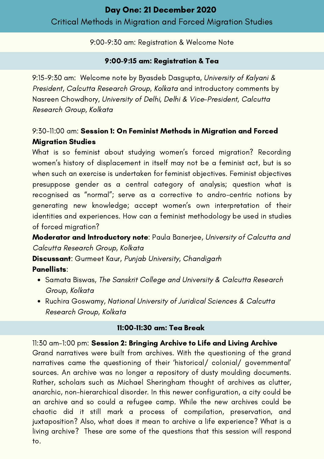## 9:00-9:30 am: Registration & Welcome Note

## 9:00-9:15 am: Registration & Tea

9:15-9:30 am: Welcome note by Byasdeb Dasgupta, University of Kalyani & President, Calcutta Research Group, Kolkata and introductory comments by Nasreen Chowdhory, University of Delhi, Delhi & Vice-President, Calcutta Research Group, Kolkata

# 9:30-11:00 am: Session 1: On Feminist Methods in Migration and Forced Migration Studies

What is so feminist about studying women's forced migration? Recording women's history of displacement in itself may not be a feminist act, but is so when such an exercise is undertaken for feminist objectives. Feminist objectives presuppose gender as a central category of analysis; question what is recognised as "normal"; serve as a corrective to andro-centric notions by generating new knowledge; accept women's own interpretation of their identities and experiences. How can a feminist methodology be used in studies of forced migration?

Moderator and Introductory note: Paula Banerjee, University of Calcutta and Calcutta Research Group, Kolkata

Discussant: Gurmeet Kaur, Punjab University, Chandigarh

Panellists:

- Samata Biswas, The Sanskrit College and University & Calcutta Research Group, Kolkata
- Ruchira Goswamy, National University of Juridical Sciences & Calcutta Research Group, Kolkata

## 11:00-11:30 am: Tea Break

11:30 am-1:00 pm: Session 2: Bringing Archive to Life and Living Archive Grand narratives were built from archives. With the questioning of the grand narratives came the questioning of their 'historical/ colonial/ governmental' sources. An archive was no longer a repository of dusty moulding documents. Rather, scholars such as Michael Sheringham thought of archives as clutter, anarchic, non-hierarchical disorder. In this newer configuration, a city could be an archive and so could a refugee camp. While the new archives could be chaotic did it still mark a process of compilation, preservation, and juxtaposition? Also, what does it mean to archive a life experience? What is a living archive? These are some of the questions that this session will respond to.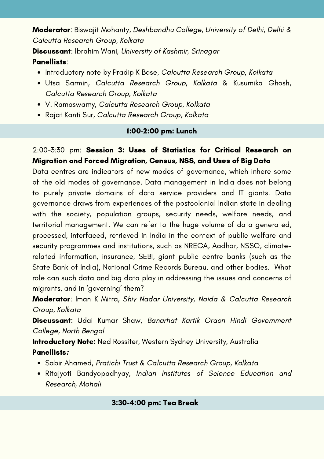Moderator: Biswajit Mohanty, Deshbandhu College, University of Delhi, Delhi & Calcutta Research Group, Kolkata

Discussant: Ibrahim Wani, University of Kashmir, Srinagar Panellists:

- . Introductory note by Pradip K Bose, Calcutta Research Group, Kolkata
- Utsa Sarmin, Calcutta Research Group, Kolkata & Kusumika Ghosh, Calcutta Research Group, Kolkata
- V. Ramaswamy, Calcutta Research Group, Kolkata
- Rajat Kanti Sur, Calcutta Research Group, Kolkata

## 1:00-2:00 pm: Lunch

# 2:00-3:30 pm: Session 3: Uses of Statistics for Critical Research on Migration and Forced Migration, Census, NSS, and Uses of Big Data

Data centres are indicators of new modes of governance, which inhere some of the old modes of governance. Data management in India does not belong to purely private domains of data service providers and IT giants. Data governance draws from experiences of the postcolonial Indian state in dealing with the society, population groups, security needs, welfare needs, and territorial management. We can refer to the huge volume of data generated, processed, interfaced, retrieved in India in the context of public welfare and security programmes and institutions, such as NREGA, Aadhar, NSSO, climaterelated information, insurance, SEBI, giant public centre banks (such as the State Bank of India), National Crime Records Bureau, and other bodies. What role can such data and big data play in addressing the issues and concerns of migrants, and in 'governing' them?

Moderator: Iman K Mitra, Shiv Nadar University, Noida & Calcutta Research Group, Kolkata

Discussant: Udai Kumar Shaw, Banarhat Kartik Oraon Hindi Government College, North Bengal

**Introductory Note:** Ned Rossiter, Western Sydney University, Australia Panellists:

- Sabir Ahamed, Pratichi Trust & Calcutta Research Group, Kolkata
- Ritajyoti Bandyopadhyay, Indian Institutes of Science Education and Research, Mohali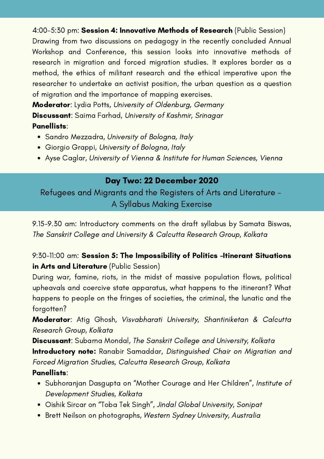4:00-5:30 pm: Session 4: Innovative Methods of Research (Public Session) Drawing from two discussions on pedagogy in the recently concluded Annual Workshop and Conference, this session looks into innovative methods of research in migration and forced migration studies. It explores border as a method, the ethics of militant research and the ethical imperative upon the researcher to undertake an activist position, the urban question as a question of migration and the importance of mapping exercises.

**Moderator:** Lydia Potts, University of Oldenburg, Germany Discussant: Saima Farhad, University of Kashmir, Srinagar Panellists:

- Sandro Mezzadra, University of Bologna, Italy
- Giorgio Grappi, University of Bologna, Italy
- Ayse Caglar, University of Vienna & Institute for Human Sciences, Vienna

# Day Two: 22 December 2020

Refugees and Migrants and the Registers of Arts and Literature - A Syllabus Making Exercise

9.15-9.30 am: Introductory comments on the draft syllabus by Samata Biswas, The Sanskrit College and University & Calcutta Research Group, Kolkata

## 9:30-11:00 am: Session 5: The Impossibility of Politics –Itinerant Situations in Arts and Literature (Public Session)

During war, famine, riots, in the midst of massive population flows, political upheavals and coercive state apparatus, what happens to the itinerant? What happens to people on the fringes of societies, the criminal, the lunatic and the forgotten?

Moderator: Atig Ghosh, Visvabharati University, Shantiniketan & Calcutta Research Group, Kolkata

Discussant: Subarna Mondal, The Sanskrit College and University, Kolkata Introductory note: Ranabir Samaddar, Distinguished Chair on Migration and Forced Migration Studies, Calcutta Research Group, Kolkata

## Panellists:

- Subhoranjan Dasgupta on "Mother Courage and Her Children", Institute of Development Studies, Kolkata
- Oishik Sircar on "Toba Tek Singh", Jindal Global University, Sonipat
- Brett Neilson on photographs, Western Sydney University, Australia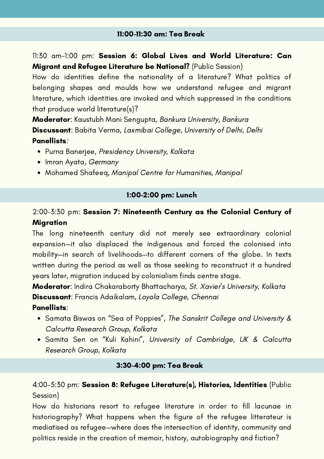11:30 am-1:00 pm: Session 6: Global Lives and World Literature: Can Migrant and Refugee Literature be National? (Public Session)

How do identities define the nationality of a literature? What politics of belonging shapes and moulds how we understand refugee and migrant literature, which identities are invoked and which suppressed in the conditions that produce world literature(s)?

Moderator: Kaustubh Mani Sengupta, Bankura University, Bankura Discussant: Babita Verma, Laxmibai College, University of Delhi, Delhi Panellists:

- Purna Banerjee, Presidency University, Kolkata
- Imran Ayata, Germany
- Mohamed Shafeeq, Manipal Centre for Humanities, Manipal

## 1:00-2:00 pm: Lunch

## 2:00-3:30 pm: Session 7: Nineteenth Century as the Colonial Century of Migration

The long nineteenth century did not merely see extraordinary colonial expansion—it also displaced the indigenous and forced the colonised into mobility—in search of livelihoods—to different corners of the globe. In texts written during the period as well as those seeking to reconstruct it a hundred years later, migration induced by colonialism finds centre stage.

Moderator: Indira Chakaraborty Bhattacharya, St. Xavier's University, Kolkata Discussant: Francis Adaikalam, Loyola College, Chennai

- Panellists:
	- Samata Biswas on "Sea of Poppies", The Sanskrit College and University & Calcutta Research Group, Kolkata
	- Samita Sen on "Kuli Kahini", University of Cambridge, UK & Calcutta Research Group, Kolkata

#### 3:30-4:00 pm: Tea Break

## 4:00-5:30 pm: Session 8: Refugee Literature(s), Histories, Identities (Public Session)

How do historians resort to refugee literature in order to fill lacunae in historiography? What happens when the figure of the refugee litterateur is mediatised as refugee—where does the intersection of identity, community and politics reside in the creation of memoir, history, autobiography and fiction?